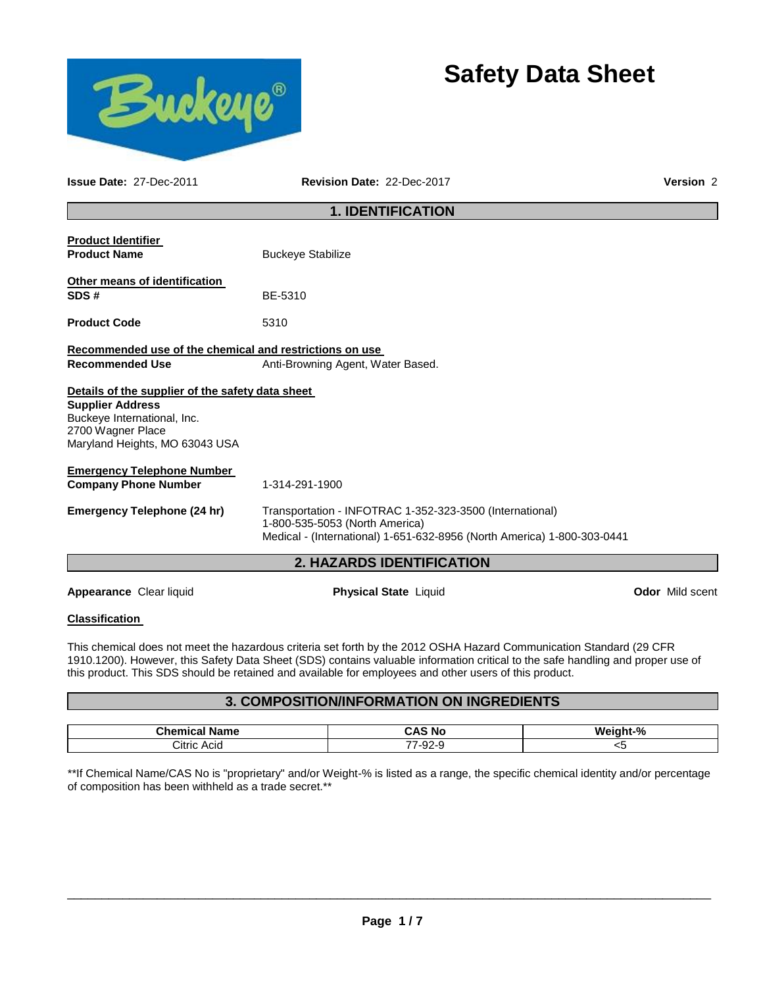



**Issue Date:** 27-Dec-2011 **Revision Date:** 22-Dec-2017 **Version** 2

# **1. IDENTIFICATION**

| <b>Appearance Clear liquid</b>                                                                                | <b>Physical State Liquid</b>                                                                                                                                          |  | <b>Odor</b> Mild scent |  |
|---------------------------------------------------------------------------------------------------------------|-----------------------------------------------------------------------------------------------------------------------------------------------------------------------|--|------------------------|--|
|                                                                                                               | 2. HAZARDS IDENTIFICATION                                                                                                                                             |  |                        |  |
| <b>Emergency Telephone (24 hr)</b>                                                                            | Transportation - INFOTRAC 1-352-323-3500 (International)<br>1-800-535-5053 (North America)<br>Medical - (International) 1-651-632-8956 (North America) 1-800-303-0441 |  |                        |  |
| <b>Emergency Telephone Number</b><br><b>Company Phone Number</b>                                              | 1-314-291-1900                                                                                                                                                        |  |                        |  |
| <b>Supplier Address</b><br>Buckeye International, Inc.<br>2700 Wagner Place<br>Maryland Heights, MO 63043 USA |                                                                                                                                                                       |  |                        |  |
| Details of the supplier of the safety data sheet                                                              |                                                                                                                                                                       |  |                        |  |
| Recommended use of the chemical and restrictions on use<br><b>Recommended Use</b>                             | Anti-Browning Agent, Water Based.                                                                                                                                     |  |                        |  |
| <b>Product Code</b>                                                                                           | 5310                                                                                                                                                                  |  |                        |  |
| Other means of identification<br>SDS#                                                                         | BE-5310                                                                                                                                                               |  |                        |  |
| <b>Product Identifier</b><br><b>Product Name</b>                                                              | <b>Buckeye Stabilize</b>                                                                                                                                              |  |                        |  |

## **Classification**

This chemical does not meet the hazardous criteria set forth by the 2012 OSHA Hazard Communication Standard (29 CFR 1910.1200). However, this Safety Data Sheet (SDS) contains valuable information critical to the safe handling and proper use of this product. This SDS should be retained and available for employees and other users of this product.

# **3. COMPOSITION/INFORMATION ON INGREDIENTS**

| <b>Chemical</b><br>Name | <b>CAS No</b>                             | $\mathbf{a}$<br>---<br>w<br>1NT-70 |
|-------------------------|-------------------------------------------|------------------------------------|
| Citric Acid             | $\sim$ $\sim$<br>ララ<br>$\sim$ $\sim$<br>ັ |                                    |

\*\*If Chemical Name/CAS No is "proprietary" and/or Weight-% is listed as a range, the specific chemical identity and/or percentage of composition has been withheld as a trade secret.\*\*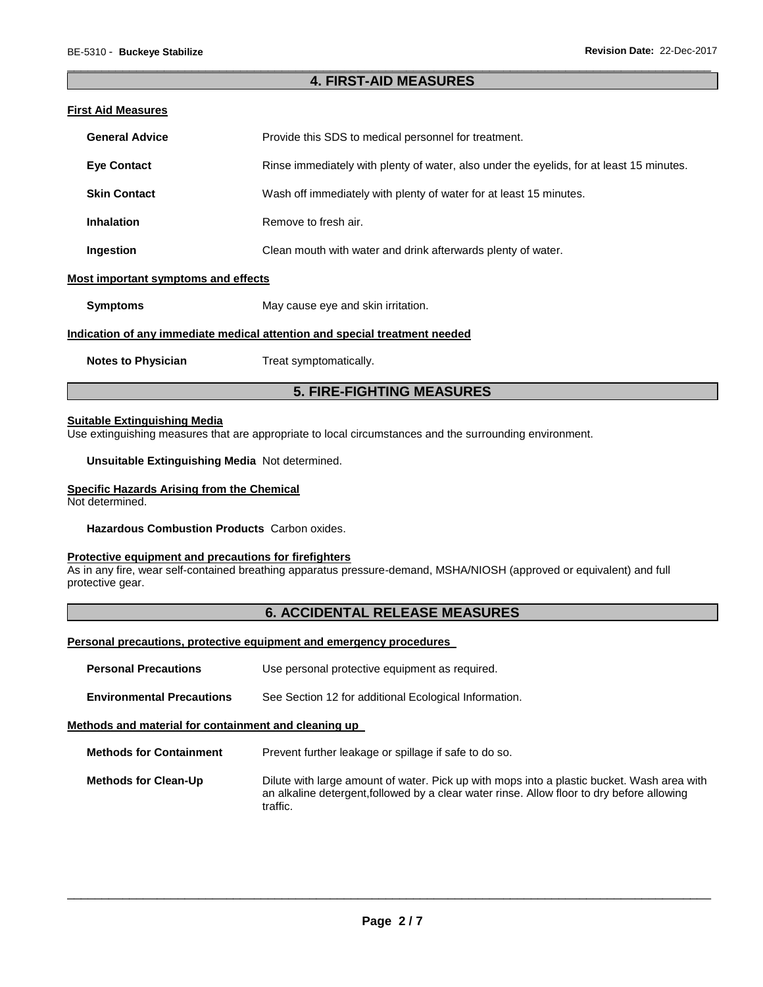## \_\_\_\_\_\_\_\_\_\_\_\_\_\_\_\_\_\_\_\_\_\_\_\_\_\_\_\_\_\_\_\_\_\_\_\_\_\_\_\_\_\_\_\_\_\_\_\_\_\_\_\_\_\_\_\_\_\_\_\_\_\_\_\_\_\_\_\_\_\_\_\_\_\_\_\_\_\_\_\_\_\_\_\_\_\_\_\_\_\_\_\_\_ **4. FIRST-AID MEASURES**

## **First Aid Measures**

| <b>General Advice</b>                                                      | Provide this SDS to medical personnel for treatment.                                     |  |
|----------------------------------------------------------------------------|------------------------------------------------------------------------------------------|--|
| <b>Eye Contact</b>                                                         | Rinse immediately with plenty of water, also under the eyelids, for at least 15 minutes. |  |
| <b>Skin Contact</b>                                                        | Wash off immediately with plenty of water for at least 15 minutes.                       |  |
| <b>Inhalation</b>                                                          | Remove to fresh air.                                                                     |  |
| Ingestion                                                                  | Clean mouth with water and drink afterwards plenty of water.                             |  |
| <b>Most important symptoms and effects</b>                                 |                                                                                          |  |
| <b>Symptoms</b>                                                            | May cause eye and skin irritation.                                                       |  |
| Indication of any immediate medical attention and special treatment needed |                                                                                          |  |
| <b>Notes to Physician</b>                                                  | Treat symptomatically.                                                                   |  |
| <b>5. FIRE-FIGHTING MEASURES</b>                                           |                                                                                          |  |

#### **Suitable Extinguishing Media**

Use extinguishing measures that are appropriate to local circumstances and the surrounding environment.

**Unsuitable Extinguishing Media** Not determined.

#### **Specific Hazards Arising from the Chemical**

Not determined.

**Hazardous Combustion Products** Carbon oxides.

#### **Protective equipment and precautions for firefighters**

As in any fire, wear self-contained breathing apparatus pressure-demand, MSHA/NIOSH (approved or equivalent) and full protective gear.

# **6. ACCIDENTAL RELEASE MEASURES**

## **Personal precautions, protective equipment and emergency procedures**

| <b>Personal Precautions</b>                          | Use personal protective equipment as required.        |  |
|------------------------------------------------------|-------------------------------------------------------|--|
| <b>Environmental Precautions</b>                     | See Section 12 for additional Ecological Information. |  |
| Methods and material for containment and cleaning up |                                                       |  |

**Methods for Containment** Prevent further leakage or spillage if safe to do so.

**Methods for Clean-Up** Dilute with large amount of water. Pick up with mops into a plastic bucket. Wash area with an alkaline detergent,followed by a clear water rinse. Allow floor to dry before allowing traffic.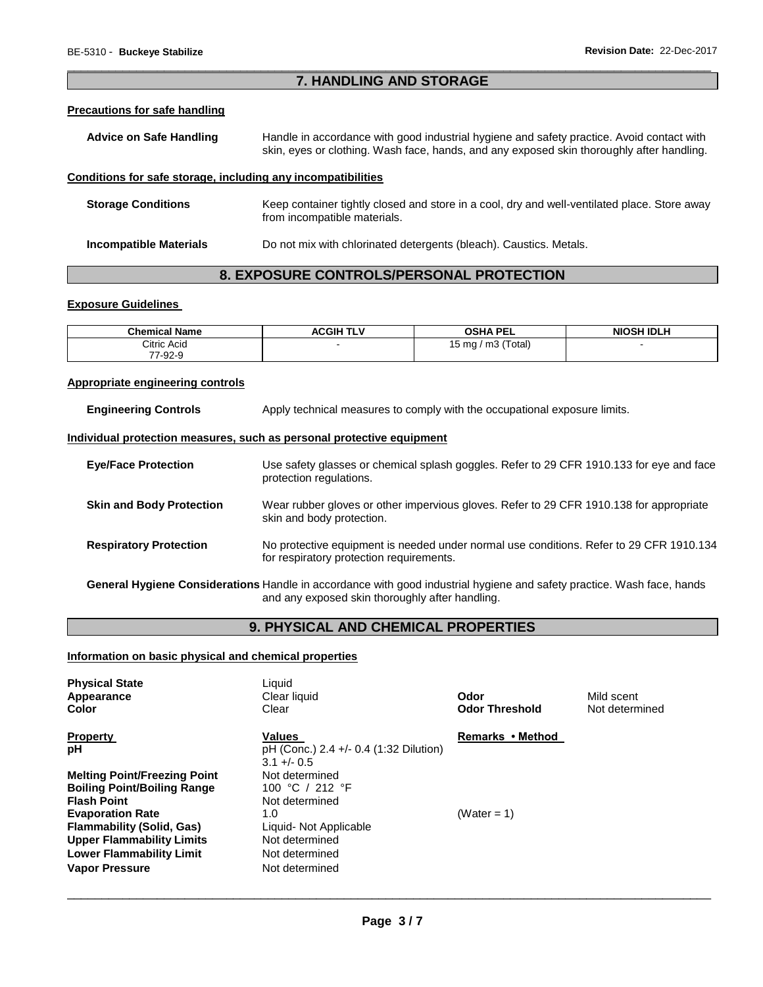## \_\_\_\_\_\_\_\_\_\_\_\_\_\_\_\_\_\_\_\_\_\_\_\_\_\_\_\_\_\_\_\_\_\_\_\_\_\_\_\_\_\_\_\_\_\_\_\_\_\_\_\_\_\_\_\_\_\_\_\_\_\_\_\_\_\_\_\_\_\_\_\_\_\_\_\_\_\_\_\_\_\_\_\_\_\_\_\_\_\_\_\_\_ **7. HANDLING AND STORAGE**

## **Precautions for safe handling**

| Advice on Safe Handling | Handle in accordance with good industrial hygiene and safety practice. Avoid contact with |
|-------------------------|-------------------------------------------------------------------------------------------|
|                         | skin, eyes or clothing. Wash face, hands, and any exposed skin thoroughly after handling. |

### **Conditions for safe storage, including any incompatibilities**

| <b>Storage Conditions</b>     | Keep container tightly closed and store in a cool, dry and well-ventilated place. Store away<br>from incompatible materials. |
|-------------------------------|------------------------------------------------------------------------------------------------------------------------------|
| <b>Incompatible Materials</b> | Do not mix with chlorinated detergents (bleach). Caustics. Metals.                                                           |

# **8. EXPOSURE CONTROLS/PERSONAL PROTECTION**

## **Exposure Guidelines**

| <b>Chemical Name</b> | <b>ACGIH TLV</b> | <b>OSHA PEL</b>       | <b>NIOSH IDLH</b> |
|----------------------|------------------|-----------------------|-------------------|
| Citric Acid          |                  | 15 mg / m $3$ (Total) |                   |
| 77-92-9              |                  |                       |                   |

## **Appropriate engineering controls**

| <b>Engineering Controls</b>     | Apply technical measures to comply with the occupational exposure limits.                                                           |  |
|---------------------------------|-------------------------------------------------------------------------------------------------------------------------------------|--|
|                                 | Individual protection measures, such as personal protective equipment                                                               |  |
| <b>Eye/Face Protection</b>      | Use safety glasses or chemical splash goggles. Refer to 29 CFR 1910.133 for eye and face<br>protection regulations.                 |  |
| <b>Skin and Body Protection</b> | Wear rubber gloves or other impervious gloves. Refer to 29 CFR 1910.138 for appropriate<br>skin and body protection.                |  |
| <b>Respiratory Protection</b>   | No protective equipment is needed under normal use conditions. Refer to 29 CFR 1910.134<br>for respiratory protection requirements. |  |
|                                 | Conoral Hygione Considerations Handle in accordance with good industrial hygione and safety practice. Wash face, bands              |  |

**General Hygiene Considerations** Handle in accordance with good industrial hygiene and safety practice. Wash face, hands and any exposed skin thoroughly after handling.

# **9. PHYSICAL AND CHEMICAL PROPERTIES**

## **Information on basic physical and chemical properties**

| <b>Physical State</b><br>Appearance<br>Color                                                                                                                                                                                                                   | Liquid<br>Clear liquid<br>Clear                                                                                                            | Odor<br><b>Odor Threshold</b> | Mild scent<br>Not determined |
|----------------------------------------------------------------------------------------------------------------------------------------------------------------------------------------------------------------------------------------------------------------|--------------------------------------------------------------------------------------------------------------------------------------------|-------------------------------|------------------------------|
| <b>Property</b><br>рH                                                                                                                                                                                                                                          | <b>Values</b><br>pH (Conc.) 2.4 +/- 0.4 (1:32 Dilution)<br>$3.1 +/- 0.5$                                                                   | Remarks • Method              |                              |
| <b>Melting Point/Freezing Point</b><br><b>Boiling Point/Boiling Range</b><br><b>Flash Point</b><br><b>Evaporation Rate</b><br><b>Flammability (Solid, Gas)</b><br><b>Upper Flammability Limits</b><br><b>Lower Flammability Limit</b><br><b>Vapor Pressure</b> | Not determined<br>100 °C / 212 °F<br>Not determined<br>1.0<br>Liquid- Not Applicable<br>Not determined<br>Not determined<br>Not determined | (Water = 1)                   |                              |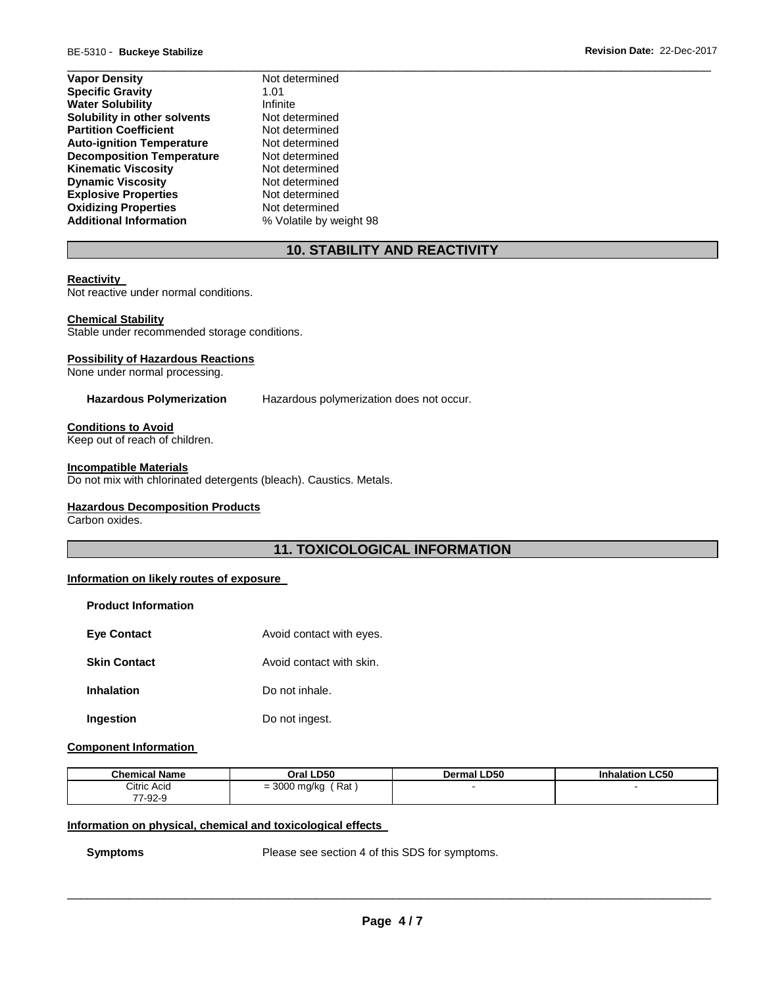| Not determined          |
|-------------------------|
| 1.01                    |
| Infinite                |
| Not determined          |
| Not determined          |
| Not determined          |
| Not determined          |
| Not determined          |
| Not determined          |
| Not determined          |
| Not determined          |
| % Volatile by weight 98 |
|                         |

# **10. STABILITY AND REACTIVITY**

\_\_\_\_\_\_\_\_\_\_\_\_\_\_\_\_\_\_\_\_\_\_\_\_\_\_\_\_\_\_\_\_\_\_\_\_\_\_\_\_\_\_\_\_\_\_\_\_\_\_\_\_\_\_\_\_\_\_\_\_\_\_\_\_\_\_\_\_\_\_\_\_\_\_\_\_\_\_\_\_\_\_\_\_\_\_\_\_\_\_\_\_\_

## **Reactivity**

Not reactive under normal conditions.

#### **Chemical Stability**

Stable under recommended storage conditions.

## **Possibility of Hazardous Reactions**

None under normal processing.

**Hazardous Polymerization** Hazardous polymerization does not occur.

## **Conditions to Avoid**

Keep out of reach of children.

#### **Incompatible Materials**

Do not mix with chlorinated detergents (bleach). Caustics. Metals.

## **Hazardous Decomposition Products**

Carbon oxides.

# **11. TOXICOLOGICAL INFORMATION**

## **Information on likely routes of exposure**

| <b>Product Information</b> |                          |
|----------------------------|--------------------------|
| <b>Eve Contact</b>         | Avoid contact with eyes. |
| <b>Skin Contact</b>        | Avoid contact with skin. |
| <b>Inhalation</b>          | Do not inhale.           |
| <b>Ingestion</b>           | Do not ingest.           |

## **Component Information**

| <b>Chemical Name</b> | <b>LD50</b><br>Oral | Dermal LD50 | <b>LC50</b><br>nhalation |
|----------------------|---------------------|-------------|--------------------------|
| Citric Acid          | Rat<br>= 3000 mg/kg |             |                          |
| 77-92-9              |                     |             |                          |

#### **Information on physical, chemical and toxicological effects**

**Symptoms** Please see section 4 of this SDS for symptoms.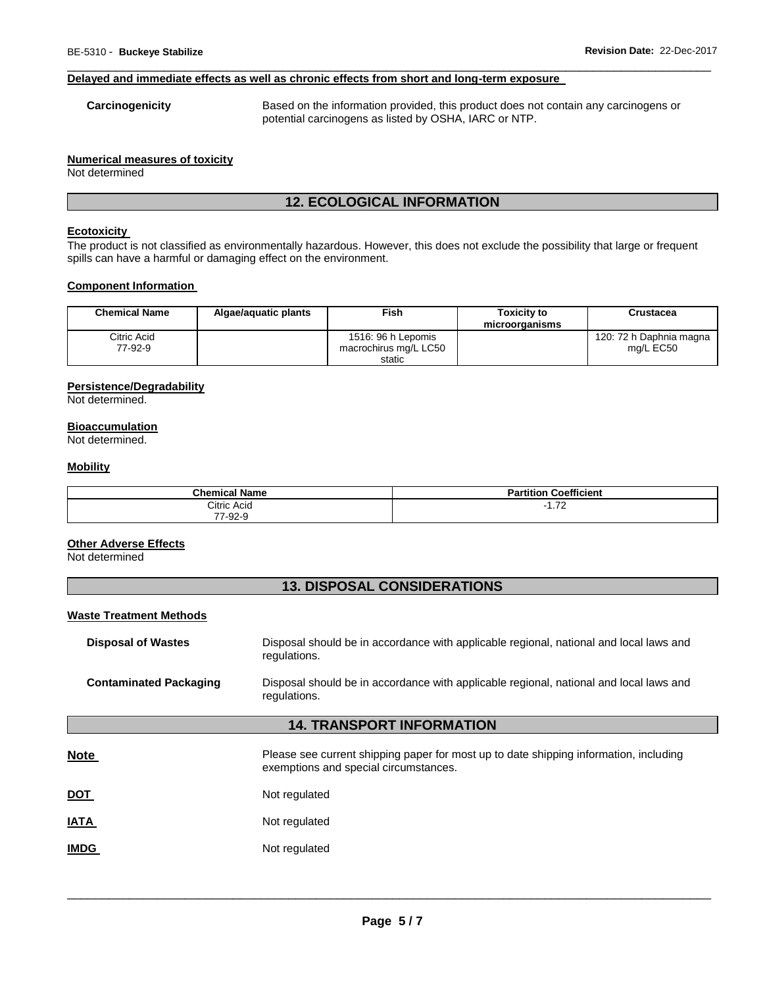#### **Delayed and immediate effects as well as chronic effects from short and long-term exposure**

**Carcinogenicity** Based on the information provided, this product does not contain any carcinogens or potential carcinogens as listed by OSHA, IARC or NTP.

#### **Numerical measures of toxicity**

Not determined

# **12. ECOLOGICAL INFORMATION**

\_\_\_\_\_\_\_\_\_\_\_\_\_\_\_\_\_\_\_\_\_\_\_\_\_\_\_\_\_\_\_\_\_\_\_\_\_\_\_\_\_\_\_\_\_\_\_\_\_\_\_\_\_\_\_\_\_\_\_\_\_\_\_\_\_\_\_\_\_\_\_\_\_\_\_\_\_\_\_\_\_\_\_\_\_\_\_\_\_\_\_\_\_

## **Ecotoxicity**

The product is not classified as environmentally hazardous. However, this does not exclude the possibility that large or frequent spills can have a harmful or damaging effect on the environment.

## **Component Information**

| <b>Chemical Name</b> | Algae/aguatic plants | Fish                  | <b>Toxicity to</b><br>microorganisms | Crustacea               |
|----------------------|----------------------|-----------------------|--------------------------------------|-------------------------|
| Citric Acid          |                      | 1516: 96 h Lepomis    |                                      | 120: 72 h Daphnia magna |
| 77-92-9              |                      | macrochirus mg/L LC50 |                                      | ma/L EC50               |
|                      |                      | static                |                                      |                         |

## **Persistence/Degradability**

Not determined.

#### **Bioaccumulation**

Not determined.

## **Mobility**

| <b>Chemical Name</b>                              | <b>Coefficient</b><br>.<br>tition<br>Partitic |
|---------------------------------------------------|-----------------------------------------------|
| Citric Acid<br>$\sim$ $\sim$ $\sim$ $\sim$ $\sim$ | 70<br>-<br>$\cdot$ .                          |
| 77-92-9                                           |                                               |

#### **Other Adverse Effects**

Not determined

# **13. DISPOSAL CONSIDERATIONS**

## **Waste Treatment Methods**

| <b>Disposal of Wastes</b> | Disposal should be in accordance with applicable regional, national and local laws and<br>regulations. |
|---------------------------|--------------------------------------------------------------------------------------------------------|
|                           |                                                                                                        |

**Contaminated Packaging** Disposal should be in accordance with applicable regional, national and local laws and regulations.

# **14. TRANSPORT INFORMATION**

| <b>Note</b> | Please see current shipping paper for most up to date shipping information, including<br>exemptions and special circumstances. |
|-------------|--------------------------------------------------------------------------------------------------------------------------------|
| <u>DOT</u>  | Not regulated                                                                                                                  |
| <b>IATA</b> | Not regulated                                                                                                                  |
| <b>IMDG</b> | Not regulated                                                                                                                  |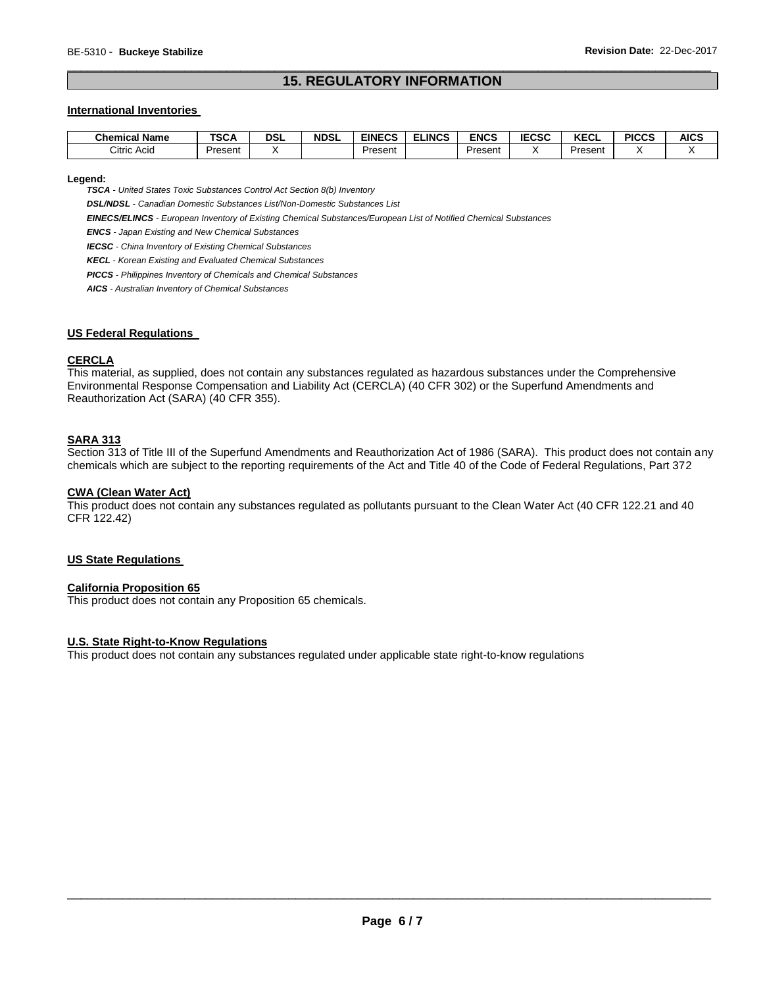## \_\_\_\_\_\_\_\_\_\_\_\_\_\_\_\_\_\_\_\_\_\_\_\_\_\_\_\_\_\_\_\_\_\_\_\_\_\_\_\_\_\_\_\_\_\_\_\_\_\_\_\_\_\_\_\_\_\_\_\_\_\_\_\_\_\_\_\_\_\_\_\_\_\_\_\_\_\_\_\_\_\_\_\_\_\_\_\_\_\_\_\_\_ **15. REGULATORY INFORMATION**

#### **International Inventories**

| <b>Chemical Name</b> | <b>TSCA</b> | <b>DSL</b> | <b>NDSL</b> | EINECS  | <b>ELINCS</b> | <b>ENCS</b> | <b>IECSC</b> | $V = 0$<br><b>NEUL</b> | <b>PICCS</b> | <b>AICS</b> |
|----------------------|-------------|------------|-------------|---------|---------------|-------------|--------------|------------------------|--------------|-------------|
| Citric Acid          | Present     |            |             | Present |               | Present     |              | Present                |              |             |

#### **Legend:**

*TSCA - United States Toxic Substances Control Act Section 8(b) Inventory* 

*DSL/NDSL - Canadian Domestic Substances List/Non-Domestic Substances List* 

*EINECS/ELINCS - European Inventory of Existing Chemical Substances/European List of Notified Chemical Substances* 

*ENCS - Japan Existing and New Chemical Substances* 

*IECSC - China Inventory of Existing Chemical Substances* 

*KECL - Korean Existing and Evaluated Chemical Substances* 

*PICCS - Philippines Inventory of Chemicals and Chemical Substances* 

*AICS - Australian Inventory of Chemical Substances* 

## **US Federal Regulations**

## **CERCLA**

This material, as supplied, does not contain any substances regulated as hazardous substances under the Comprehensive Environmental Response Compensation and Liability Act (CERCLA) (40 CFR 302) or the Superfund Amendments and Reauthorization Act (SARA) (40 CFR 355).

## **SARA 313**

Section 313 of Title III of the Superfund Amendments and Reauthorization Act of 1986 (SARA). This product does not contain any chemicals which are subject to the reporting requirements of the Act and Title 40 of the Code of Federal Regulations, Part 372

#### **CWA (Clean Water Act)**

This product does not contain any substances regulated as pollutants pursuant to the Clean Water Act (40 CFR 122.21 and 40 CFR 122.42)

#### **US State Regulations**

#### **California Proposition 65**

This product does not contain any Proposition 65 chemicals.

#### **U.S. State Right-to-Know Regulations**

This product does not contain any substances regulated under applicable state right-to-know regulations